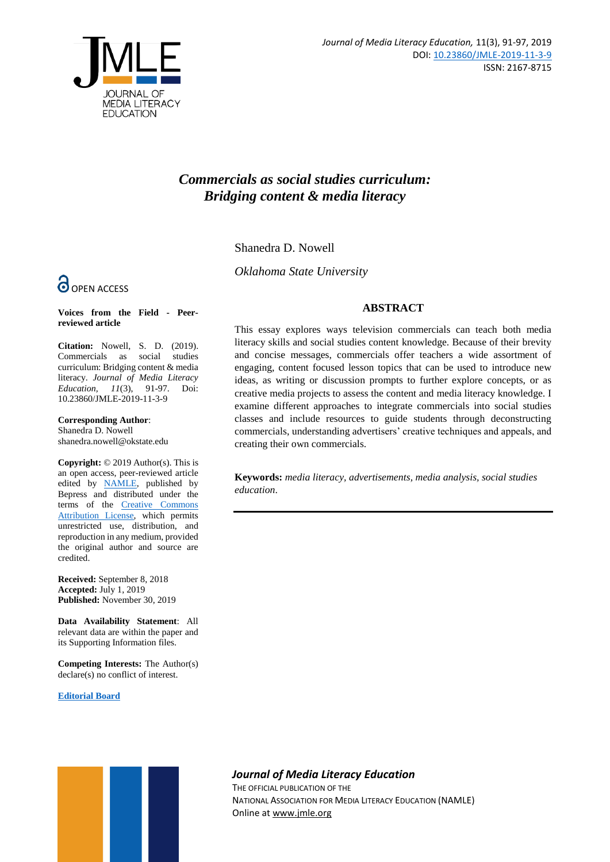

# *Commercials as social studies curriculum: Bridging content & media literacy*

Shanedra D. Nowell

*Oklahoma State University*

# **O** OPEN ACCESS

**Voices from the Field - Peerreviewed article**

**Citation:** Nowell, S. D. (2019). Commercials as social studies curriculum: Bridging content & media literacy. *Journal of Media Literacy Education, 11*(3), 91-97. Doi: 10.23860/JMLE-2019-11-3-9

**Corresponding Author**: Shanedra D. Nowell shanedra.nowell@okstate.edu

**Copyright:** © 2019 Author(s). This is an open access, peer-reviewed article edited by [NAMLE,](https://namle.net/) published by Bepress and distributed under the terms of the [Creative Commons](https://creativecommons.org/licenses/by/4.0/)  [Attribution License,](https://creativecommons.org/licenses/by/4.0/) which permits unrestricted use, distribution, and reproduction in any medium, provided the original author and source are credited.

**Received:** September 8, 2018 **Accepted:** July 1, 2019 **Published:** November 30, 2019

**Data Availability Statement**: All relevant data are within the paper and its Supporting Information files.

**Competing Interests:** The Author(s) declare(s) no conflict of interest.

**[Editorial Board](https://digitalcommons.uri.edu/jmle/editorialboard.html)**



This essay explores ways television commercials can teach both media literacy skills and social studies content knowledge. Because of their brevity and concise messages, commercials offer teachers a wide assortment of engaging, content focused lesson topics that can be used to introduce new ideas, as writing or discussion prompts to further explore concepts, or as creative media projects to assess the content and media literacy knowledge. I examine different approaches to integrate commercials into social studies classes and include resources to guide students through deconstructing commercials, understanding advertisers' creative techniques and appeals, and creating their own commercials.

**Keywords:** *media literacy, advertisements, media analysis, social studies education*.



# *Journal of Media Literacy Education*

THE OFFICIAL PUBLICATION OF THE NATIONAL ASSOCIATION FOR MEDIA LITERACY EDUCATION (NAMLE) Online at [www.jmle.org](http://www.jmle.org/)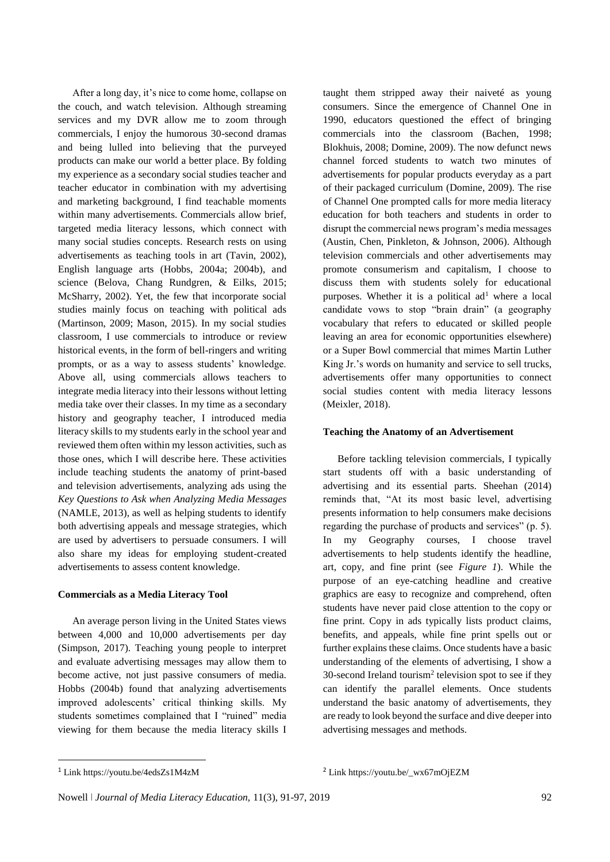After a long day, it's nice to come home, collapse on the couch, and watch television. Although streaming services and my DVR allow me to zoom through commercials, I enjoy the humorous 30-second dramas and being lulled into believing that the purveyed products can make our world a better place. By folding my experience as a secondary social studies teacher and teacher educator in combination with my advertising and marketing background, I find teachable moments within many advertisements. Commercials allow brief, targeted media literacy lessons, which connect with many social studies concepts. Research rests on using advertisements as teaching tools in art (Tavin, 2002), English language arts (Hobbs, 2004a; 2004b), and science (Belova, Chang Rundgren, & Eilks, 2015; McSharry, 2002). Yet, the few that incorporate social studies mainly focus on teaching with political ads (Martinson, 2009; Mason, 2015). In my social studies classroom, I use commercials to introduce or review historical events, in the form of bell-ringers and writing prompts, or as a way to assess students' knowledge. Above all, using commercials allows teachers to integrate media literacy into their lessons without letting media take over their classes. In my time as a secondary history and geography teacher, I introduced media literacy skills to my students early in the school year and reviewed them often within my lesson activities, such as those ones, which I will describe here. These activities include teaching students the anatomy of print-based and television advertisements, analyzing ads using the *Key Questions to Ask when Analyzing Media Messages* (NAMLE, 2013), as well as helping students to identify both advertising appeals and message strategies, which are used by advertisers to persuade consumers. I will also share my ideas for employing student-created advertisements to assess content knowledge.

# **Commercials as a Media Literacy Tool**

An average person living in the United States views between 4,000 and 10,000 advertisements per day (Simpson, 2017). Teaching young people to interpret and evaluate advertising messages may allow them to become active, not just passive consumers of media. Hobbs (2004b) found that analyzing advertisements improved adolescents' critical thinking skills. My students sometimes complained that I "ruined" media viewing for them because the media literacy skills I taught them stripped away their naiveté as young consumers. Since the emergence of Channel One in 1990, educators questioned the effect of bringing commercials into the classroom (Bachen, 1998; Blokhuis, 2008; Domine, 2009). The now defunct news channel forced students to watch two minutes of advertisements for popular products everyday as a part of their packaged curriculum (Domine, 2009). The rise of Channel One prompted calls for more media literacy education for both teachers and students in order to disrupt the commercial news program's media messages (Austin, Chen, Pinkleton, & Johnson, 2006). Although television commercials and other advertisements may promote consumerism and capitalism, I choose to discuss them with students solely for educational purposes. Whether it is a political  $ad<sup>1</sup>$  where a local candidate vows to stop "brain drain" (a geography vocabulary that refers to educated or skilled people leaving an area for economic opportunities elsewhere) or a Super Bowl commercial that mimes Martin Luther King Jr.'s words on humanity and service to sell trucks, advertisements offer many opportunities to connect social studies content with media literacy lessons (Meixler, 2018).

# **Teaching the Anatomy of an Advertisement**

Before tackling television commercials, I typically start students off with a basic understanding of advertising and its essential parts. Sheehan (2014) reminds that, "At its most basic level, advertising presents information to help consumers make decisions regarding the purchase of products and services" (p. 5). In my Geography courses, I choose travel advertisements to help students identify the headline, art, copy, and fine print (see *Figure 1*). While the purpose of an eye-catching headline and creative graphics are easy to recognize and comprehend, often students have never paid close attention to the copy or fine print. Copy in ads typically lists product claims, benefits, and appeals, while fine print spells out or further explains these claims. Once students have a basic understanding of the elements of advertising, I show a 30-second Ireland tourism<sup>2</sup> television spot to see if they can identify the parallel elements. Once students understand the basic anatomy of advertisements, they are ready to look beyond the surface and dive deeper into advertising messages and methods.

1

<sup>&</sup>lt;sup>1</sup> Lin[k https://youtu.be/4edsZs1M4zM](https://youtu.be/4edsZs1M4zM) <sup>2</sup> Link [https://youtu.be/\\_wx67mOjEZM](https://youtu.be/_wx67mOjEZM)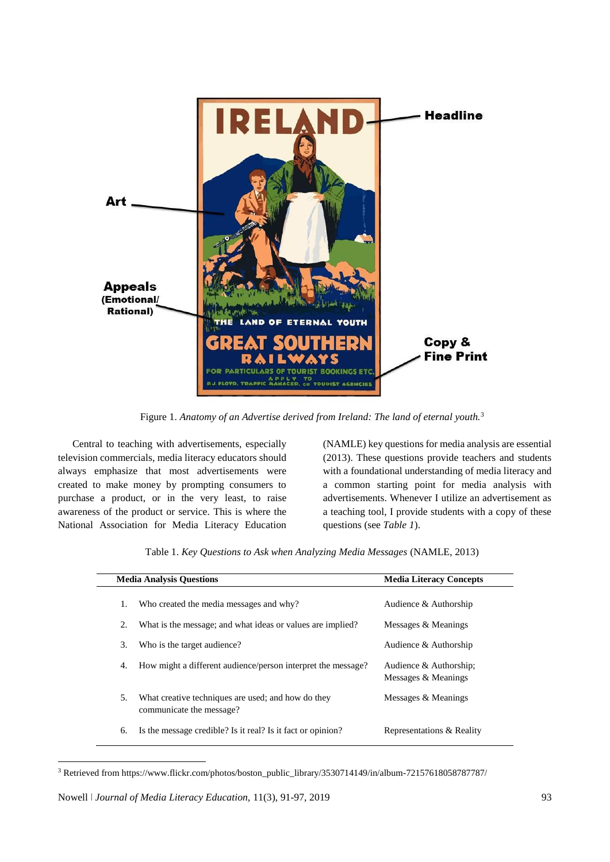

Figure 1. *Anatomy of an Advertise derived from Ireland: The land of eternal youth.*<sup>3</sup>

Central to teaching with advertisements, especially television commercials, media literacy educators should always emphasize that most advertisements were created to make money by prompting consumers to purchase a product, or in the very least, to raise awareness of the product or service. This is where the National Association for Media Literacy Education (NAMLE) key questions for media analysis are essential (2013). These questions provide teachers and students with a foundational understanding of media literacy and a common starting point for media analysis with advertisements. Whenever I utilize an advertisement as a teaching tool, I provide students with a copy of these questions (see *Table 1*).

| <b>Media Analysis Questions</b> |                                                                                | <b>Media Literacy Concepts</b>                |
|---------------------------------|--------------------------------------------------------------------------------|-----------------------------------------------|
| 1.                              | Who created the media messages and why?                                        | Audience & Authorship                         |
| 2.                              | What is the message; and what ideas or values are implied?                     | Messages & Meanings                           |
| 3.                              | Who is the target audience?                                                    | Audience & Authorship                         |
| 4.                              | How might a different audience/person interpret the message?                   | Audience & Authorship;<br>Messages & Meanings |
| 5.                              | What creative techniques are used; and how do they<br>communicate the message? | Messages & Meanings                           |
| 6.                              | Is the message credible? Is it real? Is it fact or opinion?                    | Representations & Reality                     |

<sup>3</sup> Retrieved from [https://www.flickr.com/photos/boston\\_public\\_library/3530714149/in/album-72157618058787787/](https://www.flickr.com/photos/boston_public_library/3530714149/in/album-72157618058787787/)

**.**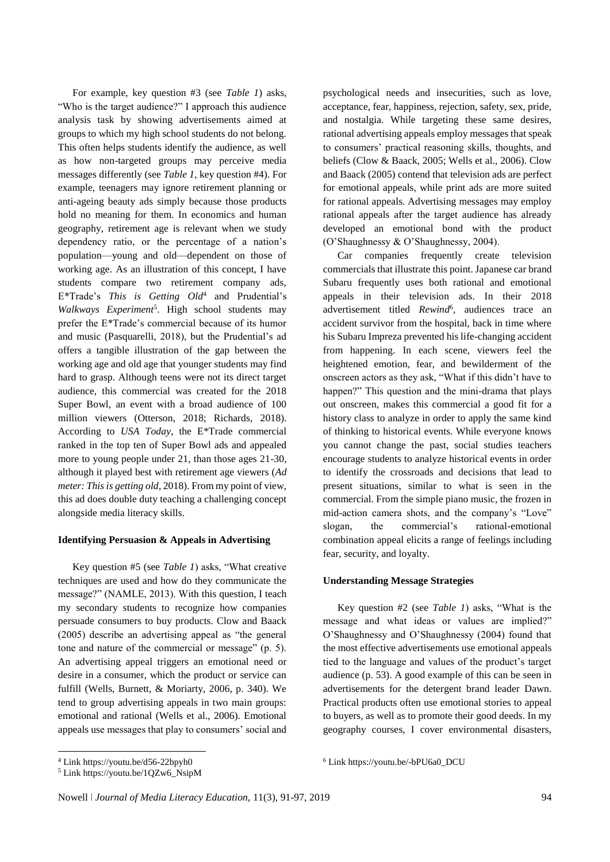For example, key question #3 (see *Table 1*) asks, "Who is the target audience?" I approach this audience analysis task by showing advertisements aimed at groups to which my high school students do not belong. This often helps students identify the audience, as well as how non-targeted groups may perceive media messages differently (see *Table 1*, key question #4). For example, teenagers may ignore retirement planning or anti-ageing beauty ads simply because those products hold no meaning for them. In economics and human geography, retirement age is relevant when we study dependency ratio, or the percentage of a nation's population—young and old—dependent on those of working age. As an illustration of this concept, I have students compare two retirement company ads, E\*Trade's *This is Getting Old*<sup>4</sup> and Prudential's *Walkways Experiment*<sup>5</sup> . High school students may prefer the E\*Trade's commercial because of its humor and music (Pasquarelli, 2018), but the Prudential's ad offers a tangible illustration of the gap between the working age and old age that younger students may find hard to grasp. Although teens were not its direct target audience, this commercial was created for the 2018 Super Bowl, an event with a broad audience of 100 million viewers (Otterson, 2018; Richards, 2018). According to *USA Today*, the E\*Trade commercial ranked in the top ten of Super Bowl ads and appealed more to young people under 21, than those ages 21-30, although it played best with retirement age viewers (*Ad meter: This is getting old*, 2018). From my point of view, this ad does double duty teaching a challenging concept alongside media literacy skills.

# **Identifying Persuasion & Appeals in Advertising**

Key question #5 (see *Table 1*) asks, "What creative techniques are used and how do they communicate the message?" (NAMLE, 2013). With this question, I teach my secondary students to recognize how companies persuade consumers to buy products. Clow and Baack (2005) describe an advertising appeal as "the general tone and nature of the commercial or message" (p. 5). An advertising appeal triggers an emotional need or desire in a consumer, which the product or service can fulfill (Wells, Burnett, & Moriarty, 2006, p. 340). We tend to group advertising appeals in two main groups: emotional and rational (Wells et al., 2006). Emotional appeals use messages that play to consumers' social and

Car companies frequently create television commercials that illustrate this point. Japanese car brand Subaru frequently uses both rational and emotional appeals in their television ads. In their 2018 advertisement titled *Rewind*<sup>6</sup>, audiences trace an accident survivor from the hospital, back in time where his Subaru Impreza prevented his life-changing accident from happening. In each scene, viewers feel the heightened emotion, fear, and bewilderment of the onscreen actors as they ask, "What if this didn't have to happen?" This question and the mini-drama that plays out onscreen, makes this commercial a good fit for a history class to analyze in order to apply the same kind of thinking to historical events. While everyone knows you cannot change the past, social studies teachers encourage students to analyze historical events in order to identify the crossroads and decisions that lead to present situations, similar to what is seen in the commercial. From the simple piano music, the frozen in mid-action camera shots, and the company's "Love" slogan, the commercial's rational-emotional combination appeal elicits a range of feelings including fear, security, and loyalty.

#### **Understanding Message Strategies**

<sup>6</sup> Link [https://youtu.be/-bPU6a0\\_DCU](https://youtu.be/-bPU6a0_DCU)

Key question #2 (see *Table 1*) asks, "What is the message and what ideas or values are implied?" O'Shaughnessy and O'Shaughnessy (2004) found that the most effective advertisements use emotional appeals tied to the language and values of the product's target audience (p. 53). A good example of this can be seen in advertisements for the detergent brand leader Dawn. Practical products often use emotional stories to appeal to buyers, as well as to promote their good deeds. In my geography courses, I cover environmental disasters,

 $\overline{a}$ 

psychological needs and insecurities, such as love, acceptance, fear, happiness, rejection, safety, sex, pride, and nostalgia. While targeting these same desires, rational advertising appeals employ messages that speak to consumers' practical reasoning skills, thoughts, and beliefs (Clow & Baack, 2005; Wells et al., 2006). Clow and Baack (2005) contend that television ads are perfect for emotional appeals, while print ads are more suited for rational appeals. Advertising messages may employ rational appeals after the target audience has already developed an emotional bond with the product (O'Shaughnessy & O'Shaughnessy, 2004).

<sup>4</sup> Link <https://youtu.be/d56-22bpyh0>

<sup>5</sup> Link [https://youtu.be/1QZw6\\_NsipM](https://youtu.be/1QZw6_NsipM)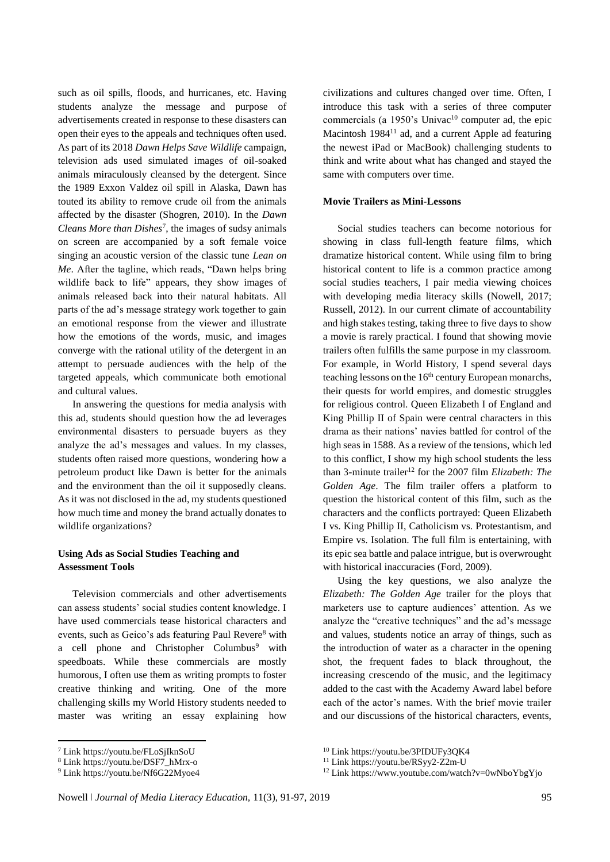such as oil spills, floods, and hurricanes, etc. Having students analyze the message and purpose of advertisements created in response to these disasters can open their eyes to the appeals and techniques often used. As part of its 2018 *Dawn Helps Save Wildlife* campaign, television ads used simulated images of oil-soaked animals miraculously cleansed by the detergent. Since the 1989 Exxon Valdez oil spill in Alaska, Dawn has touted its ability to remove crude oil from the animals affected by the disaster (Shogren, 2010). In the *Dawn Cleans More than Dishes*<sup>7</sup> , the images of sudsy animals on screen are accompanied by a soft female voice singing an acoustic version of the classic tune *Lean on Me*. After the tagline, which reads, "Dawn helps bring wildlife back to life" appears, they show images of animals released back into their natural habitats. All parts of the ad's message strategy work together to gain an emotional response from the viewer and illustrate how the emotions of the words, music, and images converge with the rational utility of the detergent in an attempt to persuade audiences with the help of the targeted appeals, which communicate both emotional and cultural values.

In answering the questions for media analysis with this ad, students should question how the ad leverages environmental disasters to persuade buyers as they analyze the ad's messages and values. In my classes, students often raised more questions, wondering how a petroleum product like Dawn is better for the animals and the environment than the oil it supposedly cleans. As it was not disclosed in the ad, my students questioned how much time and money the brand actually donates to wildlife organizations?

# **Using Ads as Social Studies Teaching and Assessment Tools**

Television commercials and other advertisements can assess students' social studies content knowledge. I have used commercials tease historical characters and events, such as Geico's ads featuring Paul Revere<sup>8</sup> with a cell phone and Christopher Columbus<sup>9</sup> with speedboats. While these commercials are mostly humorous, I often use them as writing prompts to foster creative thinking and writing. One of the more challenging skills my World History students needed to master was writing an essay explaining how

**.** 

civilizations and cultures changed over time. Often, I introduce this task with a series of three computer commercials (a 1950's Univac<sup>10</sup> computer ad, the epic Macintosh 1984<sup>11</sup> ad, and a current Apple ad featuring the newest iPad or MacBook) challenging students to think and write about what has changed and stayed the same with computers over time.

#### **Movie Trailers as Mini-Lessons**

Social studies teachers can become notorious for showing in class full-length feature films, which dramatize historical content. While using film to bring historical content to life is a common practice among social studies teachers, I pair media viewing choices with developing media literacy skills (Nowell, 2017; Russell, 2012). In our current climate of accountability and high stakes testing, taking three to five days to show a movie is rarely practical. I found that showing movie trailers often fulfills the same purpose in my classroom. For example, in World History, I spend several days teaching lessons on the  $16<sup>th</sup>$  century European monarchs, their quests for world empires, and domestic struggles for religious control. Queen Elizabeth I of England and King Phillip II of Spain were central characters in this drama as their nations' navies battled for control of the high seas in 1588. As a review of the tensions, which led to this conflict, I show my high school students the less than 3-minute trailer<sup>12</sup> for the 2007 film *Elizabeth: The Golden Age*. The film trailer offers a platform to question the historical content of this film, such as the characters and the conflicts portrayed: Queen Elizabeth I vs. King Phillip II, Catholicism vs. Protestantism, and Empire vs. Isolation. The full film is entertaining, with its epic sea battle and palace intrigue, but is overwrought with historical inaccuracies (Ford, 2009).

Using the key questions, we also analyze the *Elizabeth: The Golden Age* trailer for the ploys that marketers use to capture audiences' attention. As we analyze the "creative techniques" and the ad's message and values, students notice an array of things, such as the introduction of water as a character in the opening shot, the frequent fades to black throughout, the increasing crescendo of the music, and the legitimacy added to the cast with the Academy Award label before each of the actor's names. With the brief movie trailer and our discussions of the historical characters, events,

<sup>7</sup> Link<https://youtu.be/FLoSjIknSoU>

<sup>8</sup> Link [https://youtu.be/DSF7\\_hMrx-o](https://youtu.be/DSF7_hMrx-o)

<sup>9</sup> Link<https://youtu.be/Nf6G22Myoe4>

<sup>10</sup> Link<https://youtu.be/3PIDUFy3QK4>

<sup>11</sup> Link<https://youtu.be/RSyy2-Z2m-U>

<sup>12</sup> Link<https://www.youtube.com/watch?v=0wNboYbgYjo>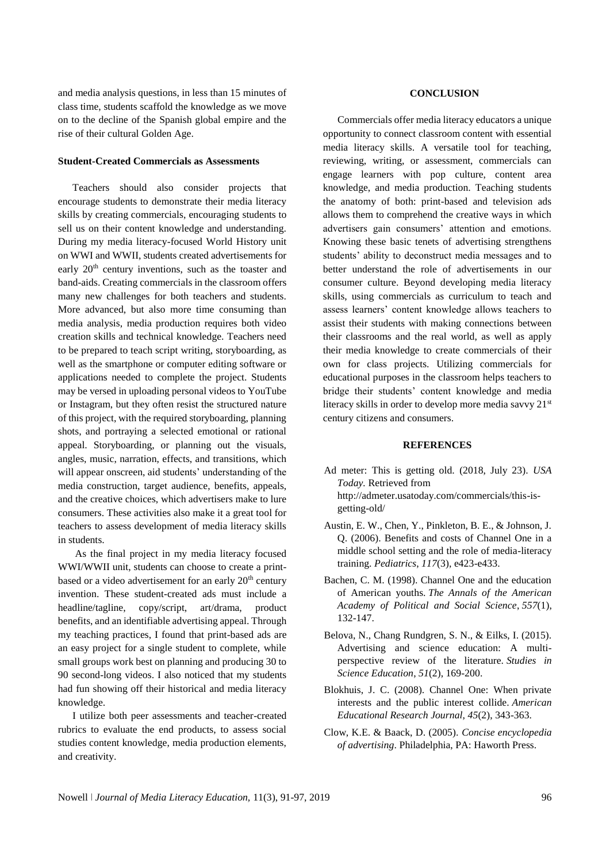and media analysis questions, in less than 15 minutes of class time, students scaffold the knowledge as we move on to the decline of the Spanish global empire and the rise of their cultural Golden Age.

#### **Student-Created Commercials as Assessments**

Teachers should also consider projects that encourage students to demonstrate their media literacy skills by creating commercials, encouraging students to sell us on their content knowledge and understanding. During my media literacy-focused World History unit on WWI and WWII, students created advertisements for early 20<sup>th</sup> century inventions, such as the toaster and band-aids. Creating commercials in the classroom offers many new challenges for both teachers and students. More advanced, but also more time consuming than media analysis, media production requires both video creation skills and technical knowledge. Teachers need to be prepared to teach script writing, storyboarding, as well as the smartphone or computer editing software or applications needed to complete the project. Students may be versed in uploading personal videos to YouTube or Instagram, but they often resist the structured nature of this project, with the required storyboarding, planning shots, and portraying a selected emotional or rational appeal. Storyboarding, or planning out the visuals, angles, music, narration, effects, and transitions, which will appear onscreen, aid students' understanding of the media construction, target audience, benefits, appeals, and the creative choices, which advertisers make to lure consumers. These activities also make it a great tool for teachers to assess development of media literacy skills in students.

As the final project in my media literacy focused WWI/WWII unit, students can choose to create a printbased or a video advertisement for an early  $20<sup>th</sup>$  century invention. These student-created ads must include a headline/tagline, copy/script, art/drama, product benefits, and an identifiable advertising appeal. Through my teaching practices, I found that print-based ads are an easy project for a single student to complete, while small groups work best on planning and producing 30 to 90 second-long videos. I also noticed that my students had fun showing off their historical and media literacy knowledge.

I utilize both peer assessments and teacher-created rubrics to evaluate the end products, to assess social studies content knowledge, media production elements, and creativity.

#### **CONCLUSION**

Commercials offer media literacy educators a unique opportunity to connect classroom content with essential media literacy skills. A versatile tool for teaching, reviewing, writing, or assessment, commercials can engage learners with pop culture, content area knowledge, and media production. Teaching students the anatomy of both: print-based and television ads allows them to comprehend the creative ways in which advertisers gain consumers' attention and emotions. Knowing these basic tenets of advertising strengthens students' ability to deconstruct media messages and to better understand the role of advertisements in our consumer culture. Beyond developing media literacy skills, using commercials as curriculum to teach and assess learners' content knowledge allows teachers to assist their students with making connections between their classrooms and the real world, as well as apply their media knowledge to create commercials of their own for class projects. Utilizing commercials for educational purposes in the classroom helps teachers to bridge their students' content knowledge and media literacy skills in order to develop more media savvy 21<sup>st</sup> century citizens and consumers.

#### **REFERENCES**

- Ad meter: This is getting old. (2018, July 23). *USA Today.* Retrieved from [http://admeter.usatoday.com/commercials/this-is](http://admeter.usatoday.com/commercials/this-is-getting-old/)[getting-old/](http://admeter.usatoday.com/commercials/this-is-getting-old/)
- Austin, E. W., Chen, Y., Pinkleton, B. E., & Johnson, J. Q. (2006). Benefits and costs of Channel One in a middle school setting and the role of media-literacy training. *Pediatrics*, *117*(3), e423-e433.
- Bachen, C. M. (1998). Channel One and the education of American youths. *The Annals of the American Academy of Political and Social Science*, *557*(1), 132-147.
- Belova, N., Chang Rundgren, S. N., & Eilks, I. (2015). Advertising and science education: A multiperspective review of the literature. *Studies in Science Education*, *51*(2), 169-200.
- Blokhuis, J. C. (2008). Channel One: When private interests and the public interest collide. *American Educational Research Journal*, *45*(2), 343-363.
- Clow, K.E. & Baack, D. (2005). *Concise encyclopedia of advertising*. Philadelphia, PA: Haworth Press.